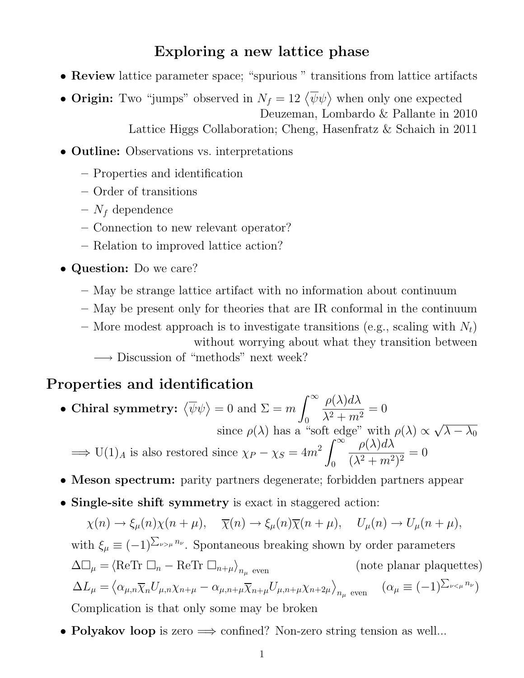### Exploring a new lattice phase

- Review lattice parameter space; "spurious " transitions from lattice artifacts
- Origin: Two "jumps" observed in  $N_f = 12 \langle \overline{\psi} \psi \rangle$  when only one expected Deuzeman, Lombardo & Pallante in 2010 Lattice Higgs Collaboration; Cheng, Hasenfratz & Schaich in 2011
- **Outline:** Observations vs. interpretations
	- Properties and identification
	- Order of transitions
	- $N_f$  dependence
	- Connection to new relevant operator?
	- Relation to improved lattice action?
- Question: Do we care?
	- May be strange lattice artifact with no information about continuum
	- May be present only for theories that are IR conformal in the continuum
	- More modest approach is to investigate transitions (e.g., scaling with  $N_t$ ) without worrying about what they transition between −→ Discussion of "methods" next week?

#### Properties and identification

- Chiral symmetry:  $\langle \overline{\psi} \psi \rangle = 0$  and  $\Sigma = m$  $\int^{\infty}$ 0  $\rho(\lambda)d\lambda$  $\lambda^2 + m^2$  $= 0$ since  $\rho(\lambda)$  has a "soft edge" with  $\rho(\lambda) \propto$ √  $\overline{\lambda-\lambda_0}$  $\implies$  U(1)<sub>A</sub> is also restored since  $\chi_P - \chi_S = 4m^2$  $\int^{\infty}$  $\overline{0}$  $\rho(\lambda)d\lambda$  $\frac{P(N)\alpha N}{(\lambda^2+m^2)^2}=0$
- Meson spectrum: parity partners degenerate; forbidden partners appear
- Single-site shift symmetry is exact in staggered action:

 $\chi(n) \to \xi_n(n)\chi(n+\mu), \quad \overline{\chi}(n) \to \xi_n(n)\overline{\chi}(n+\mu), \quad U_n(n) \to U_n(n+\mu),$ 

with 
$$
\xi_{\mu} \equiv (-1)^{\sum_{\nu > \mu} n_{\nu}}
$$
. Spontaneous breaking shown by order parameters  
\n
$$
\Delta \Box_{\mu} = \langle \text{ReTr } \Box_{n} - \text{ReTr } \Box_{n+\mu} \rangle_{n_{\mu} \text{ even}} \qquad \text{(note planar plaquettes)}
$$
\n
$$
\Delta L_{\mu} = \langle \alpha_{\mu,n} \overline{\chi}_{n} U_{\mu,n} \chi_{n+\mu} - \alpha_{\mu,n+\mu} \overline{\chi}_{n+\mu} U_{\mu,n+\mu} \chi_{n+2\mu} \rangle_{n_{\mu} \text{ even}} \qquad (\alpha_{\mu} \equiv (-1)^{\sum_{\nu < \mu} n_{\nu}})
$$
\nComplication is that only some may be broken

Complication is that only some may be broken

• Polyakov loop is zero  $\Rightarrow$  confined? Non-zero string tension as well...